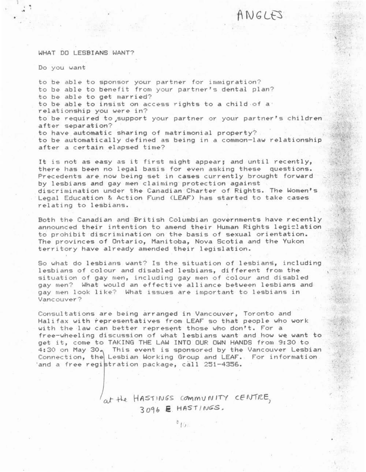# $ANGLFS$

#### WHAT DO LESBIANS WANT?

Do you want

to be able to sponsor your partner for immigration? to be able to benefit from your partner's dental plan? to be able to get married? to be able to insist on access rights to a child of a relationship you were in? to be required to support your partner or your partner's children after separation? to have automatic sharing of matrimonial property? to be automatically defined as being in a common-law relationship  $a$ fter a certain elapsed time?

It is not as easy as it first might appear; and until recently, *there* has been no legal basis for even asking these questions. Precedents are now being set in cases currently brought forward by lesbians and gay men claiming protection against discrimination under the Canadian Charter of Rights. The Women's Legal Education & Action Fund (LEAF) has started to take cases relating to lesbians.

Both the Canadian and British Columbian governments have recently announced their intention to amend their Human Rights legislation to prohibit discrimination on the basis of sexual orientation. The provinces of Ontario, Manitoba, Nova Scotia and the Yukon territory have already amended their legislation.

So what do lesbians want? Is the situation of lesbians, including lesbians of colour and disabled lesbians, different from the situation of gay men, including gay men of colour and disabled gay men? What would an effective alliance between lesbians and gay men look like? What issues are important to lesbians in Vancouver?

Consultations are being arranged in Vancouver, Toronto and Halifax with representatives from LEAF so that people who work with the law can better represent those who don't. For a free-wheeling discussion of what lesbians want and how we want to get it, come to TAKING THE LAW INTO OUR OWN HANDS from 9: 30 to 4:30 on May 30, This event is sponsored by the Vancouver Lesbian<br>Connection, the Lesbian Working Group and LEAF. For information 'and a free registration package, call 251-4356.

> *<i><u>ot</u>* the HASTINGS community cENTRE.  $3.096$  **E** HASTINGS.  $^{3}10.$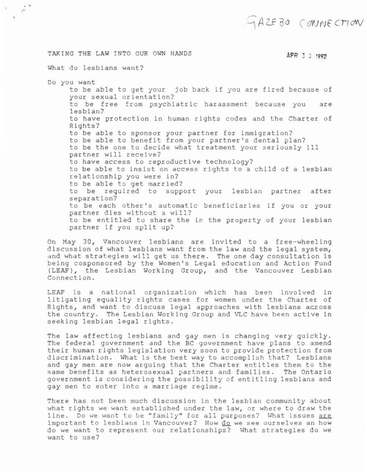## GAZEBO CONNECTION

### TAKING THE LAW INTO OUR OWN HANDS

### APR 3 3 1999

What do lesbians want?

Do you want

 $\mathbb{R}^+$ 

to be able to get your job back if you are fired because of your sexual orientation? to be free from psychiatric harassment because you are leshian? to have protection in human rights codes and the Charter of Rights? to be able to sponsor your partner for immigration? to be able to benefit from your partner's dental plan? to be the one to decide what treatment your seriously ill partner will receive? to have access to reproductive technology? to be able to insist on access rights to a child of a lesbian relationship you were in? to be able to get married? to be required to support your lesbian partner after separation? to be each other's automatic beneficiaries if you or your partner dies without a will? to be entitled to share the in the property of your lesbian partner if you split up?

On May 30, Vancouver lesbians are invited to a free-wheeling discussion of what lesbians want from the law and the legal system. and what strategies will get us there. The one day consultation is being cosponsored by the Women's Legal education and Action Fund (LEAF), the Lesbian Working Group, and the Vancouver Lesbian Connection.

LEAF is a national organization which has been involved in litigating equality rights cases for women under the Charter of Rights, and want to discuss legal approaches with lesbians across the country. The Lesbian Working Group and VLC have been active in seeking lesbian legal rights.

The law affecting lesbians and gay men is changing very quickly. The federal government and the BC government have plans to amend their human rights legislation very soon to provide protection from discrimination. What is the best way to accomplish that? Lesbians and gay men are now arguing that the Charter entitles them to the same benefits as heterosexual partners and families. The Ontario government is considering the possibility of entitling lesbians and gay men to enter into a marriage regime.

There has not been much discussion in the lesbian community about what rights we want established under the law, or where to draw the line. Do we want to be "family" for all purposes? What issues are important to lesbians in Vancouver? How do we see ourselves an how do we want to represent our relationships? What strategies do we want to use?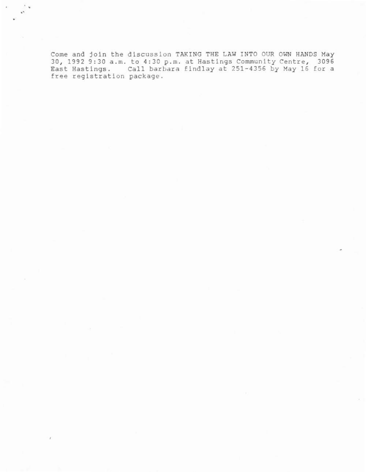Come and join the discussion TakING THE LAW INTO OUR OWN HANDS May<br>30, 1992 9:30 a.m. to 4:30 p.m. at Hastings Community Centre, 3096<br>Esst Hastings. Call barbara findlay at 251-4356 by May 16 for a<br>free registration pa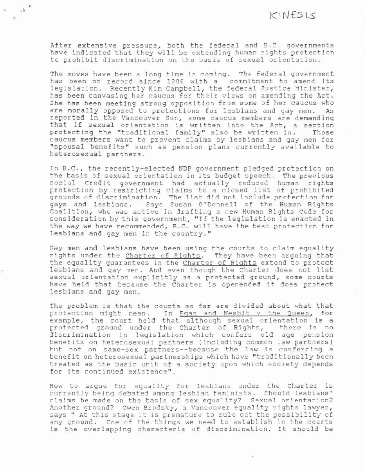After extensive pressure, both the federal and B.C. governments have indicated that they will be extending human rights protection to prohibit discrimination on the basis of sexual orientation.

 $\alpha$  .

The moves have been a long time in coming. The federal government has been on record since 1986 with a commitment to amend its<br>legislation. Recently Kim Campbell, the federal Justice Minister,<br>has been canvasing her caucus for their views on amending the Act. She has been meeting strong opposition from some of her caucus who are morally opposed to protections for lesbians and gay men. As reported in the Vancouver Sun, some caucus members are demanding that if sexual orientation is written into the Act, a section protecting the "traditional family" also be written in. Those caucus members want to prevent claims by lesbians and gay men for "spousal benefits" such as pension plans currently available to heterosexual partners.

In B.C., the recently-elected NDP government pledged protection on the basis of sexual orientation in its budget speech . The previous Social Credit government had actually reduced human rights protection by restricting claims to a closed list of prohibited provencion by resignition. The list did not include protection for<br>gays and lesbians. Says Susan O'Donnell of the Human Rights Coalition, who was active in drafting a new Human Rights Code for consideration by this government, " If the legislation is enacted in the way we have recommended, B.C. will have the best protection for lesbians and gay men in the country. "

Gay men and lesbians have been using the courts to claim equality. rights under the Charter of Rights. They have been arquing that the equality quarantees in the Charter of Rights extend to protect lesbians and gay men . And even though the Charter does not list sexual orientation explicitly as a protected ground, some courts have held that because the Charter is openended it does protect lesbians and gay men.

The problem is that the courts so far are divided about what that protection might mean. In Egan and Nesbit v the Queen, for<br>example, the court held that although sexual orientation is a protected ground under the Charter of Rights, there is no discrimination in legislation which confers old age pension benefits on heterosexual partners (including common law partners) but not on same-sex partners--because the law is conferring a benefit on heterosexual partnerships which have "traditionally been treated as the basic unit of a society upon which society depends for its continued existence".

How to argue for equality for lesbians under the Charter is currently being debated among lesbian feminists. Should lesbians' claims be made on the basis of sex equality? Sexual orientation? Another ground? Gwen Brodsky, a Vancouver equality rights lawyer, says " At this stage it is premature to rule out the possibility of any ground. One of the things we need to establish in the courts ls the overlapping characterls of discrimination . It should be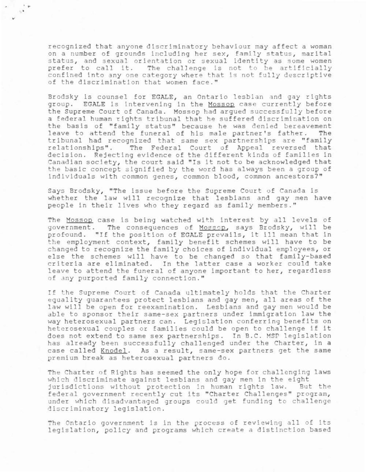recognized that anyone discriminatory behaviour may affect a woman on a number of grounds including her sex, family status, marital status, and sexual orientation or sexual identity as some women prefer to call it. The challenge is not to be artificially confined into any one category where that is not fully descriptive of the discrimination that women face."

i.  $\sim$ 

> Brodsky is counsel for EGALE, an Ontario lesbian and gay rights group. EGALE is intervening in the Mossop case currently before the Supreme Court of Canada. Mosson had argued successfully before a federal human rights tribunal that he suffered discrimination on the basis of "family status" because he was denied bereavement leave to attend the funeral of his male partner's father. The tribunal had recognized that same sex partnerships are "family<br>relationships". The Federal Court of Appeal reversed that The Federal Court of Appeal reversed that decision. Rejecting evidence of the different kinds of families in Canadian society, the court said "Is it not to be acknowledged that the basic concept signified by the word has always been a group of individuals with common genes, common blood, common ancestors?"

> Says Br odsky, "The issue before the Supreme Court of Canada is whether the law will recognize that lesbians and gay men have people in their lives who they regard as family members."

> The Mossop case is being watched with interest by all levels of government. The consequences of Mossop, says Brodsky, will be profo und. "If the position of EGALE prevails, it ill mean that *in*  the employment context, family benefit schemes will have to be changed to recognize the family choices of individual employees , or else the schemes will have to be changed so that family-based criteria are eliminated. In the latter case a worker could take leave to attend the funeral of anyone important to her, regardless of any purported family connection."

> If the Supreme Court of Canada ultimately holds that the Charter equality guarantees protect lesbians and gay men, all areas of the law will be open for reexamination. Lesbians and gay men would be able to sponsor their same-sex partners under immigration law the way heterosexual partners can. Legislation conferring benefits on heterosexual couples or families could be open to challenge if it does not extend to same sex partnerships. In B.C. MSP legislation has already been successfully challenged under the Charter, in a case called Knodel. As a result, same-sex partners get the same premium break as heterosexual partners do.

> The Charter of Rights has seemed the only hope for challenging laws which discriminate against lesbians and gay men in the eight jurisdictions without protection in human rights law. But the federal government recently cut its "Charter Challenges" program, under which disadvantaged groups could get funding to challenge discriminatory legislation.

> The Ontario government is in the process of reviewing all of its legislation, policy and programs which create a distinction based